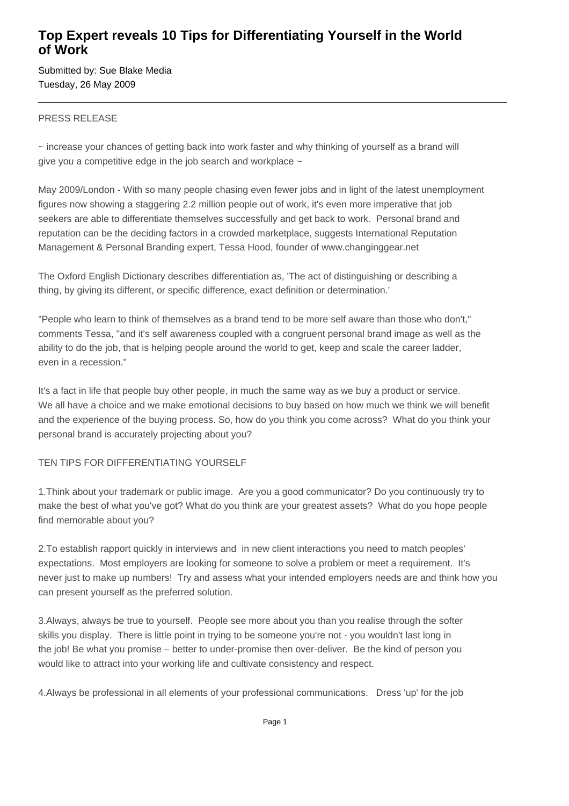## **Top Expert reveals 10 Tips for Differentiating Yourself in the World of Work**

Submitted by: Sue Blake Media Tuesday, 26 May 2009

## PRESS RELEASE

 $\sim$  increase your chances of getting back into work faster and why thinking of yourself as a brand will give you a competitive edge in the job search and workplace  $\sim$ 

May 2009/London - With so many people chasing even fewer jobs and in light of the latest unemployment figures now showing a staggering 2.2 million people out of work, it's even more imperative that job seekers are able to differentiate themselves successfully and get back to work. Personal brand and reputation can be the deciding factors in a crowded marketplace, suggests International Reputation Management & Personal Branding expert, Tessa Hood, founder of www.changinggear.net

The Oxford English Dictionary describes differentiation as, 'The act of distinguishing or describing a thing, by giving its different, or specific difference, exact definition or determination.'

"People who learn to think of themselves as a brand tend to be more self aware than those who don't," comments Tessa, "and it's self awareness coupled with a congruent personal brand image as well as the ability to do the job, that is helping people around the world to get, keep and scale the career ladder, even in a recession."

It's a fact in life that people buy other people, in much the same way as we buy a product or service. We all have a choice and we make emotional decisions to buy based on how much we think we will benefit and the experience of the buying process. So, how do you think you come across? What do you think your personal brand is accurately projecting about you?

## TEN TIPS FOR DIFFERENTIATING YOURSELF

1. Think about your trademark or public image. Are you a good communicator? Do you continuously try to make the best of what you've got? What do you think are your greatest assets? What do you hope people find memorable about you?

2. To establish rapport quickly in interviews and in new client interactions you need to match peoples' expectations. Most employers are looking for someone to solve a problem or meet a requirement. It's never just to make up numbers! Try and assess what your intended employers needs are and think how you can present yourself as the preferred solution.

3. Always, always be true to yourself. People see more about you than you realise through the softer skills you display. There is little point in trying to be someone you're not - you wouldn't last long in the job! Be what you promise – better to under-promise then over-deliver. Be the kind of person you would like to attract into your working life and cultivate consistency and respect.

4. Always be professional in all elements of your professional communications. Dress 'up' for the job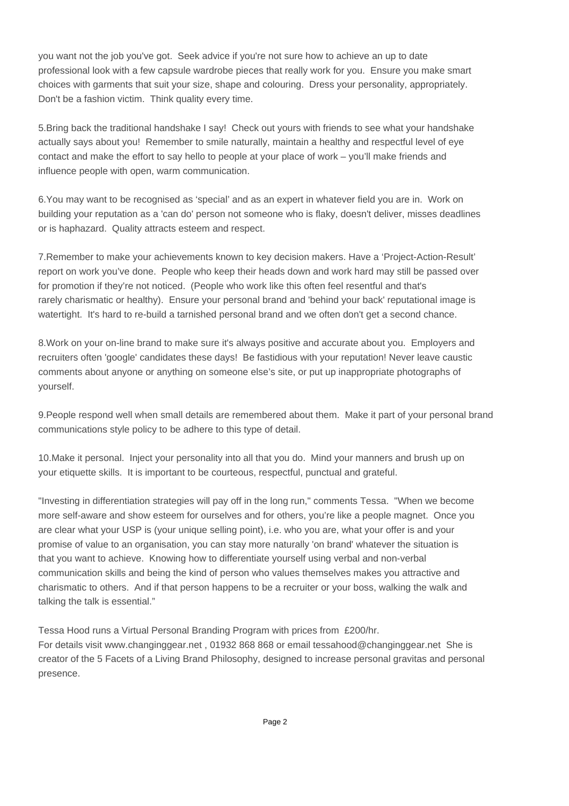you want not the job you've got. Seek advice if you're not sure how to achieve an up to date professional look with a few capsule wardrobe pieces that really work for you. Ensure you make smart choices with garments that suit your size, shape and colouring. Dress your personality, appropriately. Don't be a fashion victim. Think quality every time.

5. Bring back the traditional handshake I say! Check out yours with friends to see what your handshake actually says about you! Remember to smile naturally, maintain a healthy and respectful level of eye contact and make the effort to say hello to people at your place of work – you'll make friends and influence people with open, warm communication.

6. You may want to be recognised as 'special' and as an expert in whatever field you are in. Work on building your reputation as a 'can do' person not someone who is flaky, doesn't deliver, misses deadlines or is haphazard. Quality attracts esteem and respect.

7. Remember to make your achievements known to key decision makers. Have a 'Project-Action-Result' report on work you've done. People who keep their heads down and work hard may still be passed over for promotion if they're not noticed. (People who work like this often feel resentful and that's rarely charismatic or healthy). Ensure your personal brand and 'behind your back' reputational image is watertight. It's hard to re-build a tarnished personal brand and we often don't get a second chance.

8. Work on your on-line brand to make sure it's always positive and accurate about you. Employers and recruiters often 'google' candidates these days! Be fastidious with your reputation! Never leave caustic comments about anyone or anything on someone else's site, or put up inappropriate photographs of yourself.

9. People respond well when small details are remembered about them. Make it part of your personal brand communications style policy to be adhere to this type of detail.

10. Make it personal. Inject your personality into all that you do. Mind your manners and brush up on your etiquette skills. It is important to be courteous, respectful, punctual and grateful.

"Investing in differentiation strategies will pay off in the long run," comments Tessa. "When we become more self-aware and show esteem for ourselves and for others, you're like a people magnet. Once you are clear what your USP is (your unique selling point), i.e. who you are, what your offer is and your promise of value to an organisation, you can stay more naturally 'on brand' whatever the situation is that you want to achieve. Knowing how to differentiate yourself using verbal and non-verbal communication skills and being the kind of person who values themselves makes you attractive and charismatic to others. And if that person happens to be a recruiter or your boss, walking the walk and talking the talk is essential."

Tessa Hood runs a Virtual Personal Branding Program with prices from £200/hr.

For details visit www.changinggear.net , 01932 868 868 or email tessahood@changinggear.net She is creator of the 5 Facets of a Living Brand Philosophy, designed to increase personal gravitas and personal presence.